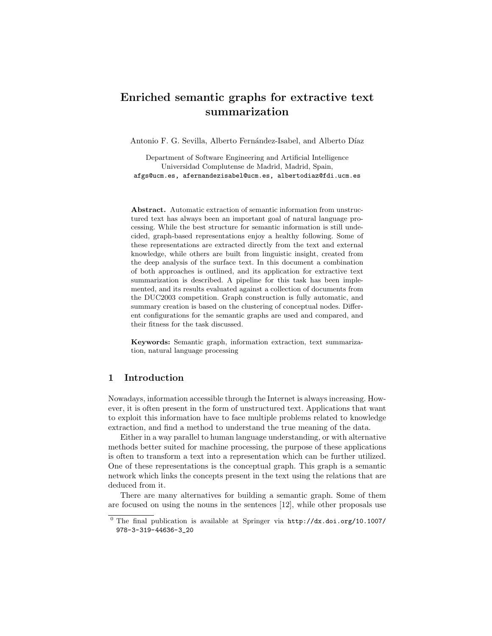# Enriched semantic graphs for extractive text summarization

Antonio F. G. Sevilla, Alberto Fernández-Isabel, and Alberto Díaz

Department of Software Engineering and Artificial Intelligence Universidad Complutense de Madrid, Madrid, Spain, afgs@ucm.es, afernandezisabel@ucm.es, albertodiaz@fdi.ucm.es

Abstract. Automatic extraction of semantic information from unstructured text has always been an important goal of natural language processing. While the best structure for semantic information is still undecided, graph-based representations enjoy a healthy following. Some of these representations are extracted directly from the text and external knowledge, while others are built from linguistic insight, created from the deep analysis of the surface text. In this document a combination of both approaches is outlined, and its application for extractive text summarization is described. A pipeline for this task has been implemented, and its results evaluated against a collection of documents from the DUC2003 competition. Graph construction is fully automatic, and summary creation is based on the clustering of conceptual nodes. Different configurations for the semantic graphs are used and compared, and their fitness for the task discussed.

Keywords: Semantic graph, information extraction, text summarization, natural language processing

# 1 Introduction

Nowadays, information accessible through the Internet is always increasing. However, it is often present in the form of unstructured text. Applications that want to exploit this information have to face multiple problems related to knowledge extraction, and find a method to understand the true meaning of the data.

Either in a way parallel to human language understanding, or with alternative methods better suited for machine processing, the purpose of these applications is often to transform a text into a representation which can be further utilized. One of these representations is the conceptual graph. This graph is a semantic network which links the concepts present in the text using the relations that are deduced from it.

There are many alternatives for building a semantic graph. Some of them are focused on using the nouns in the sentences [\[12\]](#page-9-0), while other proposals use

 $0$  The final publication is available at Springer via [http://dx.doi.org/10.1007/](http://dx.doi.org/10.1007/978-3-319-44636-3_20) [978-3-319-44636-3\\_20](http://dx.doi.org/10.1007/978-3-319-44636-3_20)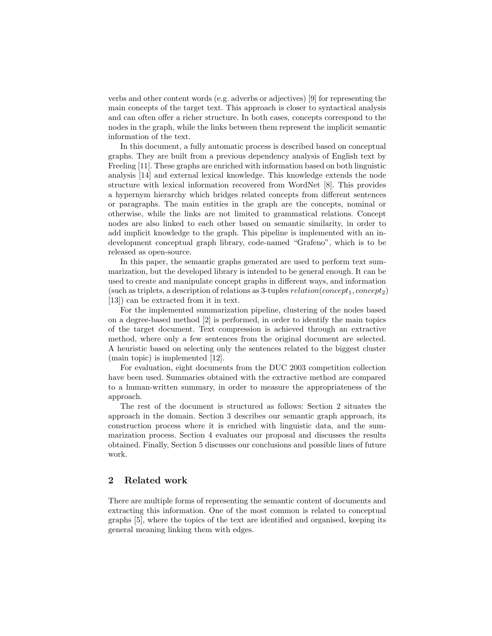verbs and other content words (e.g. adverbs or adjectives) [\[9\]](#page-9-1) for representing the main concepts of the target text. This approach is closer to syntactical analysis and can often offer a richer structure. In both cases, concepts correspond to the nodes in the graph, while the links between them represent the implicit semantic information of the text.

In this document, a fully automatic process is described based on conceptual graphs. They are built from a previous dependency analysis of English text by Freeling [\[11\]](#page-9-2). These graphs are enriched with information based on both linguistic analysis [\[14\]](#page-9-3) and external lexical knowledge. This knowledge extends the node structure with lexical information recovered from WordNet [\[8\]](#page-9-4). This provides a hypernym hierarchy which bridges related concepts from different sentences or paragraphs. The main entities in the graph are the concepts, nominal or otherwise, while the links are not limited to grammatical relations. Concept nodes are also linked to each other based on semantic similarity, in order to add implicit knowledge to the graph. This pipeline is implemented with an indevelopment conceptual graph library, code-named "Grafeno", which is to be released as open-source.

In this paper, the semantic graphs generated are used to perform text summarization, but the developed library is intended to be general enough. It can be used to create and manipulate concept graphs in different ways, and information (such as triplets, a description of relations as 3-tuples  $relation(concept_1, concept_2)$ ) [\[13\]](#page-9-5)) can be extracted from it in text.

For the implemented summarization pipeline, clustering of the nodes based on a degree-based method [\[2\]](#page-9-6) is performed, in order to identify the main topics of the target document. Text compression is achieved through an extractive method, where only a few sentences from the original document are selected. A heuristic based on selecting only the sentences related to the biggest cluster (main topic) is implemented [\[12\]](#page-9-0).

For evaluation, eight documents from the DUC 2003 competition collection have been used. Summaries obtained with the extractive method are compared to a human-written summary, in order to measure the appropriateness of the approach.

The rest of the document is structured as follows: Section [2](#page-1-0) situates the approach in the domain. Section [3](#page-2-0) describes our semantic graph approach, its construction process where it is enriched with linguistic data, and the summarization process. Section [4](#page-5-0) evaluates our proposal and discusses the results obtained. Finally, Section [5](#page-8-0) discusses our conclusions and possible lines of future work.

### <span id="page-1-0"></span>2 Related work

There are multiple forms of representing the semantic content of documents and extracting this information. One of the most common is related to conceptual graphs [\[5\]](#page-9-7), where the topics of the text are identified and organised, keeping its general meaning linking them with edges.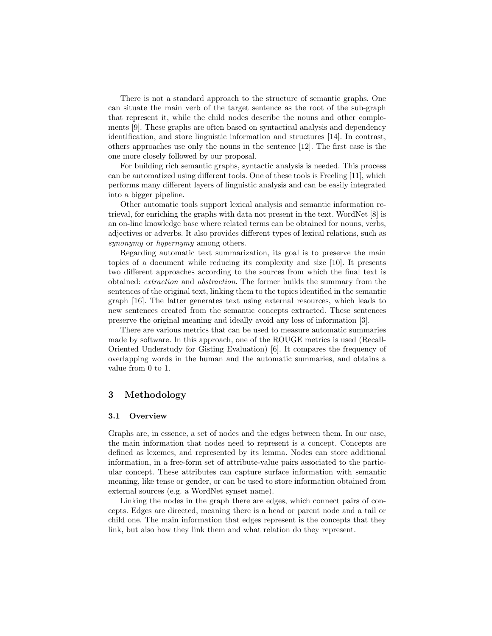There is not a standard approach to the structure of semantic graphs. One can situate the main verb of the target sentence as the root of the sub-graph that represent it, while the child nodes describe the nouns and other complements [\[9\]](#page-9-1). These graphs are often based on syntactical analysis and dependency identification, and store linguistic information and structures [\[14\]](#page-9-3). In contrast, others approaches use only the nouns in the sentence [\[12\]](#page-9-0). The first case is the one more closely followed by our proposal.

For building rich semantic graphs, syntactic analysis is needed. This process can be automatized using different tools. One of these tools is Freeling [\[11\]](#page-9-2), which performs many different layers of linguistic analysis and can be easily integrated into a bigger pipeline.

Other automatic tools support lexical analysis and semantic information retrieval, for enriching the graphs with data not present in the text. WordNet [\[8\]](#page-9-4) is an on-line knowledge base where related terms can be obtained for nouns, verbs, adjectives or adverbs. It also provides different types of lexical relations, such as synonymy or hypernymy among others.

Regarding automatic text summarization, its goal is to preserve the main topics of a document while reducing its complexity and size [\[10\]](#page-9-8). It presents two different approaches according to the sources from which the final text is obtained: extraction and abstraction. The former builds the summary from the sentences of the original text, linking them to the topics identified in the semantic graph [\[16\]](#page-9-9). The latter generates text using external resources, which leads to new sentences created from the semantic concepts extracted. These sentences preserve the original meaning and ideally avoid any loss of information [\[3\]](#page-9-10).

There are various metrics that can be used to measure automatic summaries made by software. In this approach, one of the ROUGE metrics is used (Recall-Oriented Understudy for Gisting Evaluation) [\[6\]](#page-9-11). It compares the frequency of overlapping words in the human and the automatic summaries, and obtains a value from 0 to 1.

# <span id="page-2-0"></span>3 Methodology

#### 3.1 Overview

Graphs are, in essence, a set of nodes and the edges between them. In our case, the main information that nodes need to represent is a concept. Concepts are defined as lexemes, and represented by its lemma. Nodes can store additional information, in a free-form set of attribute-value pairs associated to the particular concept. These attributes can capture surface information with semantic meaning, like tense or gender, or can be used to store information obtained from external sources (e.g. a WordNet synset name).

Linking the nodes in the graph there are edges, which connect pairs of concepts. Edges are directed, meaning there is a head or parent node and a tail or child one. The main information that edges represent is the concepts that they link, but also how they link them and what relation do they represent.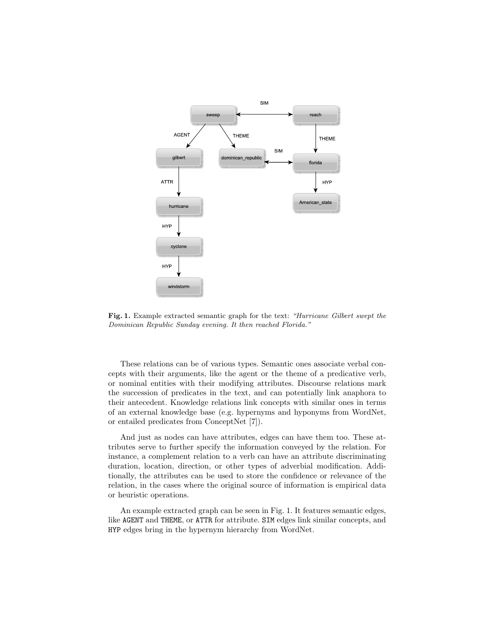

<span id="page-3-0"></span>Fig. 1. Example extracted semantic graph for the text: "Hurricane Gilbert swept the Dominican Republic Sunday evening. It then reached Florida."

These relations can be of various types. Semantic ones associate verbal concepts with their arguments, like the agent or the theme of a predicative verb, or nominal entities with their modifying attributes. Discourse relations mark the succession of predicates in the text, and can potentially link anaphora to their antecedent. Knowledge relations link concepts with similar ones in terms of an external knowledge base (e.g. hypernyms and hyponyms from WordNet, or entailed predicates from ConceptNet [\[7\]](#page-9-12)).

And just as nodes can have attributes, edges can have them too. These attributes serve to further specify the information conveyed by the relation. For instance, a complement relation to a verb can have an attribute discriminating duration, location, direction, or other types of adverbial modification. Additionally, the attributes can be used to store the confidence or relevance of the relation, in the cases where the original source of information is empirical data or heuristic operations.

An example extracted graph can be seen in Fig. [1.](#page-3-0) It features semantic edges, like AGENT and THEME, or ATTR for attribute. SIM edges link similar concepts, and HYP edges bring in the hypernym hierarchy from WordNet.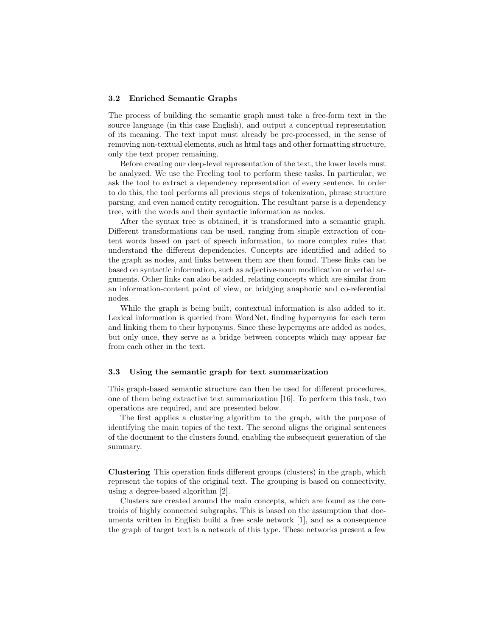#### 3.2 Enriched Semantic Graphs

The process of building the semantic graph must take a free-form text in the source language (in this case English), and output a conceptual representation of its meaning. The text input must already be pre-processed, in the sense of removing non-textual elements, such as html tags and other formatting structure, only the text proper remaining.

Before creating our deep-level representation of the text, the lower levels must be analyzed. We use the Freeling tool to perform these tasks. In particular, we ask the tool to extract a dependency representation of every sentence. In order to do this, the tool performs all previous steps of tokenization, phrase structure parsing, and even named entity recognition. The resultant parse is a dependency tree, with the words and their syntactic information as nodes.

After the syntax tree is obtained, it is transformed into a semantic graph. Different transformations can be used, ranging from simple extraction of content words based on part of speech information, to more complex rules that understand the different dependencies. Concepts are identified and added to the graph as nodes, and links between them are then found. These links can be based on syntactic information, such as adjective-noun modification or verbal arguments. Other links can also be added, relating concepts which are similar from an information-content point of view, or bridging anaphoric and co-referential nodes.

While the graph is being built, contextual information is also added to it. Lexical information is queried from WordNet, finding hypernyms for each term and linking them to their hyponyms. Since these hypernyms are added as nodes, but only once, they serve as a bridge between concepts which may appear far from each other in the text.

#### 3.3 Using the semantic graph for text summarization

This graph-based semantic structure can then be used for different procedures, one of them being extractive text summarization [\[16\]](#page-9-9). To perform this task, two operations are required, and are presented below.

The first applies a clustering algorithm to the graph, with the purpose of identifying the main topics of the text. The second aligns the original sentences of the document to the clusters found, enabling the subsequent generation of the summary.

<span id="page-4-0"></span>Clustering This operation finds different groups (clusters) in the graph, which represent the topics of the original text. The grouping is based on connectivity, using a degree-based algorithm [\[2\]](#page-9-6).

Clusters are created around the main concepts, which are found as the centroids of highly connected subgraphs. This is based on the assumption that documents written in English build a free scale network [\[1\]](#page-9-13), and as a consequence the graph of target text is a network of this type. These networks present a few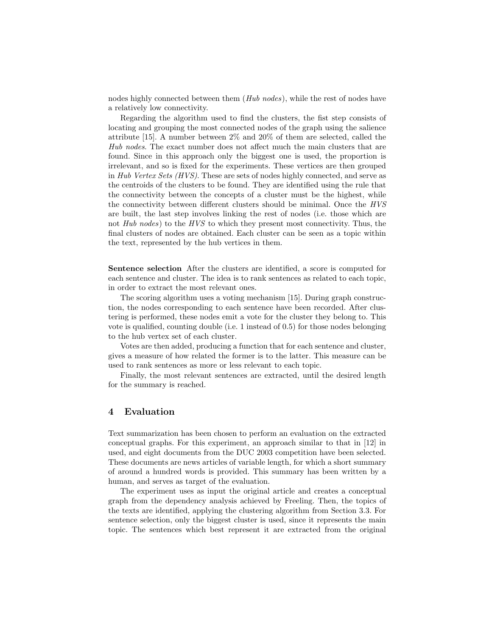nodes highly connected between them (Hub nodes), while the rest of nodes have a relatively low connectivity.

Regarding the algorithm used to find the clusters, the fist step consists of locating and grouping the most connected nodes of the graph using the salience attribute [\[15\]](#page-9-14). A number between 2% and 20% of them are selected, called the Hub nodes. The exact number does not affect much the main clusters that are found. Since in this approach only the biggest one is used, the proportion is irrelevant, and so is fixed for the experiments. These vertices are then grouped in Hub Vertex Sets (HVS). These are sets of nodes highly connected, and serve as the centroids of the clusters to be found. They are identified using the rule that the connectivity between the concepts of a cluster must be the highest, while the connectivity between different clusters should be minimal. Once the HVS are built, the last step involves linking the rest of nodes (i.e. those which are not Hub nodes) to the HVS to which they present most connectivity. Thus, the final clusters of nodes are obtained. Each cluster can be seen as a topic within the text, represented by the hub vertices in them.

Sentence selection After the clusters are identified, a score is computed for each sentence and cluster. The idea is to rank sentences as related to each topic, in order to extract the most relevant ones.

The scoring algorithm uses a voting mechanism [\[15\]](#page-9-14). During graph construction, the nodes corresponding to each sentence have been recorded. After clustering is performed, these nodes emit a vote for the cluster they belong to. This vote is qualified, counting double (i.e. 1 instead of 0.5) for those nodes belonging to the hub vertex set of each cluster.

Votes are then added, producing a function that for each sentence and cluster, gives a measure of how related the former is to the latter. This measure can be used to rank sentences as more or less relevant to each topic.

Finally, the most relevant sentences are extracted, until the desired length for the summary is reached.

## <span id="page-5-0"></span>4 Evaluation

Text summarization has been chosen to perform an evaluation on the extracted conceptual graphs. For this experiment, an approach similar to that in [\[12\]](#page-9-0) in used, and eight documents from the DUC 2003 competition have been selected. These documents are news articles of variable length, for which a short summary of around a hundred words is provided. This summary has been written by a human, and serves as target of the evaluation.

The experiment uses as input the original article and creates a conceptual graph from the dependency analysis achieved by Freeling. Then, the topics of the texts are identified, applying the clustering algorithm from Section [3.3.](#page-4-0) For sentence selection, only the biggest cluster is used, since it represents the main topic. The sentences which best represent it are extracted from the original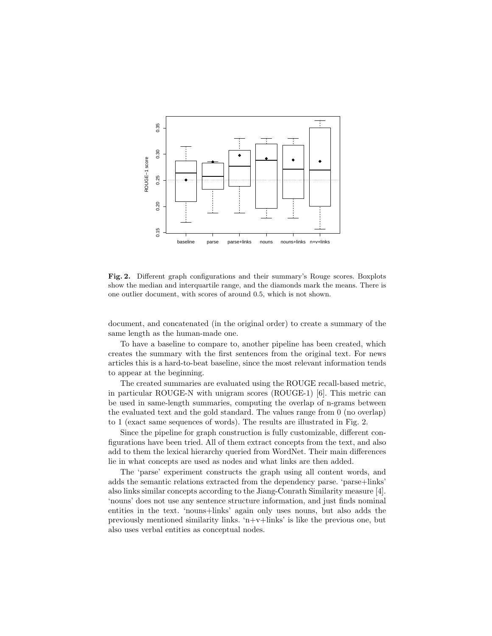

<span id="page-6-0"></span>Fig. 2. Different graph configurations and their summary's Rouge scores. Boxplots show the median and interquartile range, and the diamonds mark the means. There is one outlier document, with scores of around 0.5, which is not shown.

document, and concatenated (in the original order) to create a summary of the same length as the human-made one.

To have a baseline to compare to, another pipeline has been created, which creates the summary with the first sentences from the original text. For news articles this is a hard-to-beat baseline, since the most relevant information tends to appear at the beginning.

The created summaries are evaluated using the ROUGE recall-based metric, in particular ROUGE-N with unigram scores (ROUGE-1) [\[6\]](#page-9-11). This metric can be used in same-length summaries, computing the overlap of n-grams between the evaluated text and the gold standard. The values range from 0 (no overlap) to 1 (exact same sequences of words). The results are illustrated in Fig. [2.](#page-6-0)

Since the pipeline for graph construction is fully customizable, different configurations have been tried. All of them extract concepts from the text, and also add to them the lexical hierarchy queried from WordNet. Their main differences lie in what concepts are used as nodes and what links are then added.

The 'parse' experiment constructs the graph using all content words, and adds the semantic relations extracted from the dependency parse. 'parse+links' also links similar concepts according to the Jiang-Conrath Similarity measure [\[4\]](#page-9-15). 'nouns' does not use any sentence structure information, and just finds nominal entities in the text. 'nouns+links' again only uses nouns, but also adds the previously mentioned similarity links. 'n+v+links' is like the previous one, but also uses verbal entities as conceptual nodes.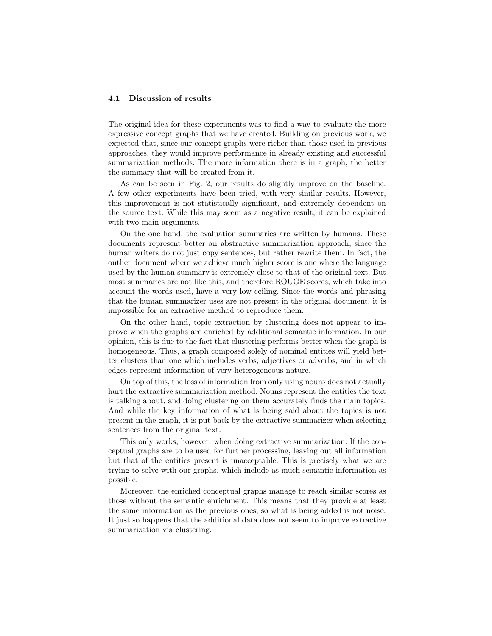#### 4.1 Discussion of results

The original idea for these experiments was to find a way to evaluate the more expressive concept graphs that we have created. Building on previous work, we expected that, since our concept graphs were richer than those used in previous approaches, they would improve performance in already existing and successful summarization methods. The more information there is in a graph, the better the summary that will be created from it.

As can be seen in Fig. [2,](#page-6-0) our results do slightly improve on the baseline. A few other experiments have been tried, with very similar results. However, this improvement is not statistically significant, and extremely dependent on the source text. While this may seem as a negative result, it can be explained with two main arguments.

On the one hand, the evaluation summaries are written by humans. These documents represent better an abstractive summarization approach, since the human writers do not just copy sentences, but rather rewrite them. In fact, the outlier document where we achieve much higher score is one where the language used by the human summary is extremely close to that of the original text. But most summaries are not like this, and therefore ROUGE scores, which take into account the words used, have a very low ceiling. Since the words and phrasing that the human summarizer uses are not present in the original document, it is impossible for an extractive method to reproduce them.

On the other hand, topic extraction by clustering does not appear to improve when the graphs are enriched by additional semantic information. In our opinion, this is due to the fact that clustering performs better when the graph is homogeneous. Thus, a graph composed solely of nominal entities will yield better clusters than one which includes verbs, adjectives or adverbs, and in which edges represent information of very heterogeneous nature.

On top of this, the loss of information from only using nouns does not actually hurt the extractive summarization method. Nouns represent the entities the text is talking about, and doing clustering on them accurately finds the main topics. And while the key information of what is being said about the topics is not present in the graph, it is put back by the extractive summarizer when selecting sentences from the original text.

This only works, however, when doing extractive summarization. If the conceptual graphs are to be used for further processing, leaving out all information but that of the entities present is unacceptable. This is precisely what we are trying to solve with our graphs, which include as much semantic information as possible.

Moreover, the enriched conceptual graphs manage to reach similar scores as those without the semantic enrichment. This means that they provide at least the same information as the previous ones, so what is being added is not noise. It just so happens that the additional data does not seem to improve extractive summarization via clustering.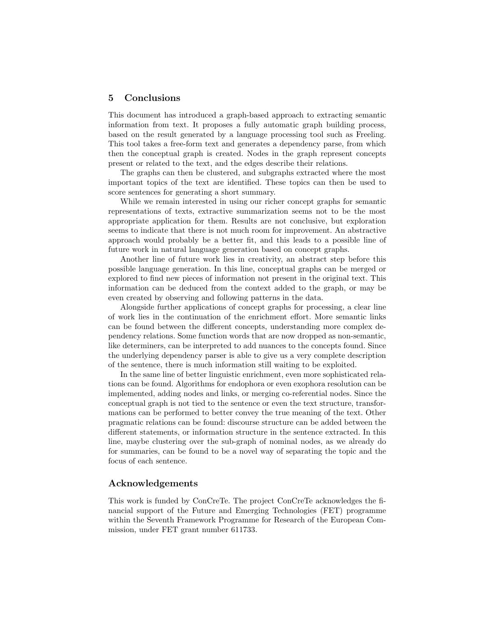### <span id="page-8-0"></span>5 Conclusions

This document has introduced a graph-based approach to extracting semantic information from text. It proposes a fully automatic graph building process, based on the result generated by a language processing tool such as Freeling. This tool takes a free-form text and generates a dependency parse, from which then the conceptual graph is created. Nodes in the graph represent concepts present or related to the text, and the edges describe their relations.

The graphs can then be clustered, and subgraphs extracted where the most important topics of the text are identified. These topics can then be used to score sentences for generating a short summary.

While we remain interested in using our richer concept graphs for semantic representations of texts, extractive summarization seems not to be the most appropriate application for them. Results are not conclusive, but exploration seems to indicate that there is not much room for improvement. An abstractive approach would probably be a better fit, and this leads to a possible line of future work in natural language generation based on concept graphs.

Another line of future work lies in creativity, an abstract step before this possible language generation. In this line, conceptual graphs can be merged or explored to find new pieces of information not present in the original text. This information can be deduced from the context added to the graph, or may be even created by observing and following patterns in the data.

Alongside further applications of concept graphs for processing, a clear line of work lies in the continuation of the enrichment effort. More semantic links can be found between the different concepts, understanding more complex dependency relations. Some function words that are now dropped as non-semantic, like determiners, can be interpreted to add nuances to the concepts found. Since the underlying dependency parser is able to give us a very complete description of the sentence, there is much information still waiting to be exploited.

In the same line of better linguistic enrichment, even more sophisticated relations can be found. Algorithms for endophora or even exophora resolution can be implemented, adding nodes and links, or merging co-referential nodes. Since the conceptual graph is not tied to the sentence or even the text structure, transformations can be performed to better convey the true meaning of the text. Other pragmatic relations can be found: discourse structure can be added between the different statements, or information structure in the sentence extracted. In this line, maybe clustering over the sub-graph of nominal nodes, as we already do for summaries, can be found to be a novel way of separating the topic and the focus of each sentence.

## Acknowledgements

This work is funded by ConCreTe. The project ConCreTe acknowledges the financial support of the Future and Emerging Technologies (FET) programme within the Seventh Framework Programme for Research of the European Commission, under FET grant number 611733.